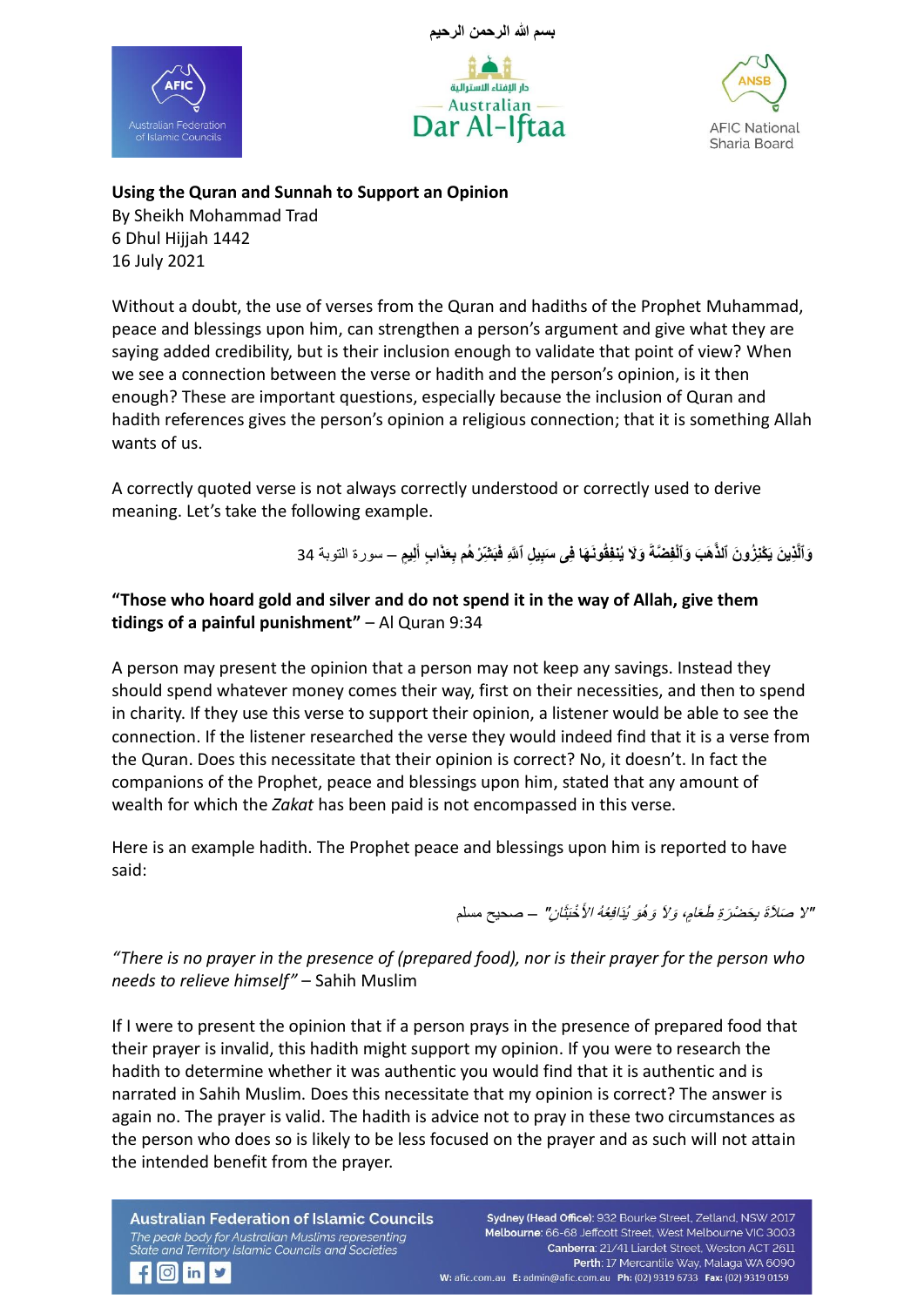





**Using the Quran and Sunnah to Support an Opinion**

By Sheikh Mohammad Trad 6 Dhul Hijjah 1442 16 July 2021

Without a doubt, the use of verses from the Quran and hadiths of the Prophet Muhammad, peace and blessings upon him, can strengthen a person's argument and give what they are saying added credibility, but is their inclusion enough to validate that point of view? When we see a connection between the verse or hadith and the person's opinion, is it then enough? These are important questions, especially because the inclusion of Quran and hadith references gives the person's opinion a religious connection; that it is something Allah wants of us.

A correctly quoted verse is not always correctly understood or correctly used to derive meaning. Let's take the following example.

> وَٱلَّذِينَ يَكْنِزُونَ ٱلذَّهَبَ وَٱلْفِضَّةَ وَلَا يُنفِقُونَهَا فِى سَبِيلِ ٱللَّهِ فَبَشِّرْهُم بِعَذَابٍ أَلِيمٍ ـــ سورة النوبة 34 **َ**

## **"Those who hoard gold and silver and do not spend it in the way of Allah, give them tidings of a painful punishment"** – Al Quran 9:34

A person may present the opinion that a person may not keep any savings. Instead they should spend whatever money comes their way, first on their necessities, and then to spend in charity. If they use this verse to support their opinion, a listener would be able to see the connection. If the listener researched the verse they would indeed find that it is a verse from the Quran. Does this necessitate that their opinion is correct? No, it doesn't. In fact the companions of the Prophet, peace and blessings upon him, stated that any amount of wealth for which the *Zakat* has been paid is not encompassed in this verse.

Here is an example hadith. The Prophet peace and blessings upon him is reported to have said:

"لا صَلاَةَ بِحَضْرَةِ طَعَامٍ، وَلاَ وَهُوَ يُذَافِعُهُ الأَخْبَثَانِ" – صحيح مسلم

# *"There is no prayer in the presence of (prepared food), nor is their prayer for the person who needs to relieve himself"* – Sahih Muslim

If I were to present the opinion that if a person prays in the presence of prepared food that their prayer is invalid, this hadith might support my opinion. If you were to research the hadith to determine whether it was authentic you would find that it is authentic and is narrated in Sahih Muslim. Does this necessitate that my opinion is correct? The answer is again no. The prayer is valid. The hadith is advice not to pray in these two circumstances as the person who does so is likely to be less focused on the prayer and as such will not attain the intended benefit from the prayer.

**Australian Federation of Islamic Councils** The peak body for Australian Muslims representing State and Territory Islamic Councils and Societies

 $f$   $\circ$  in  $\prime$ 

Sydney (Head Office): 932 Bourke Street, Zetland, NSW 2017 Melbourne: 66-68 Jeffcott Street, West Melbourne VIC 3003 Canberra: 21/41 Liardet Street, Weston ACT 2611 Perth: 17 Mercantile Way, Malaga WA 6090 W: afic.com.au E: admin@afic.com.au Ph: (02) 9319 6733 Fax: (02) 9319 0159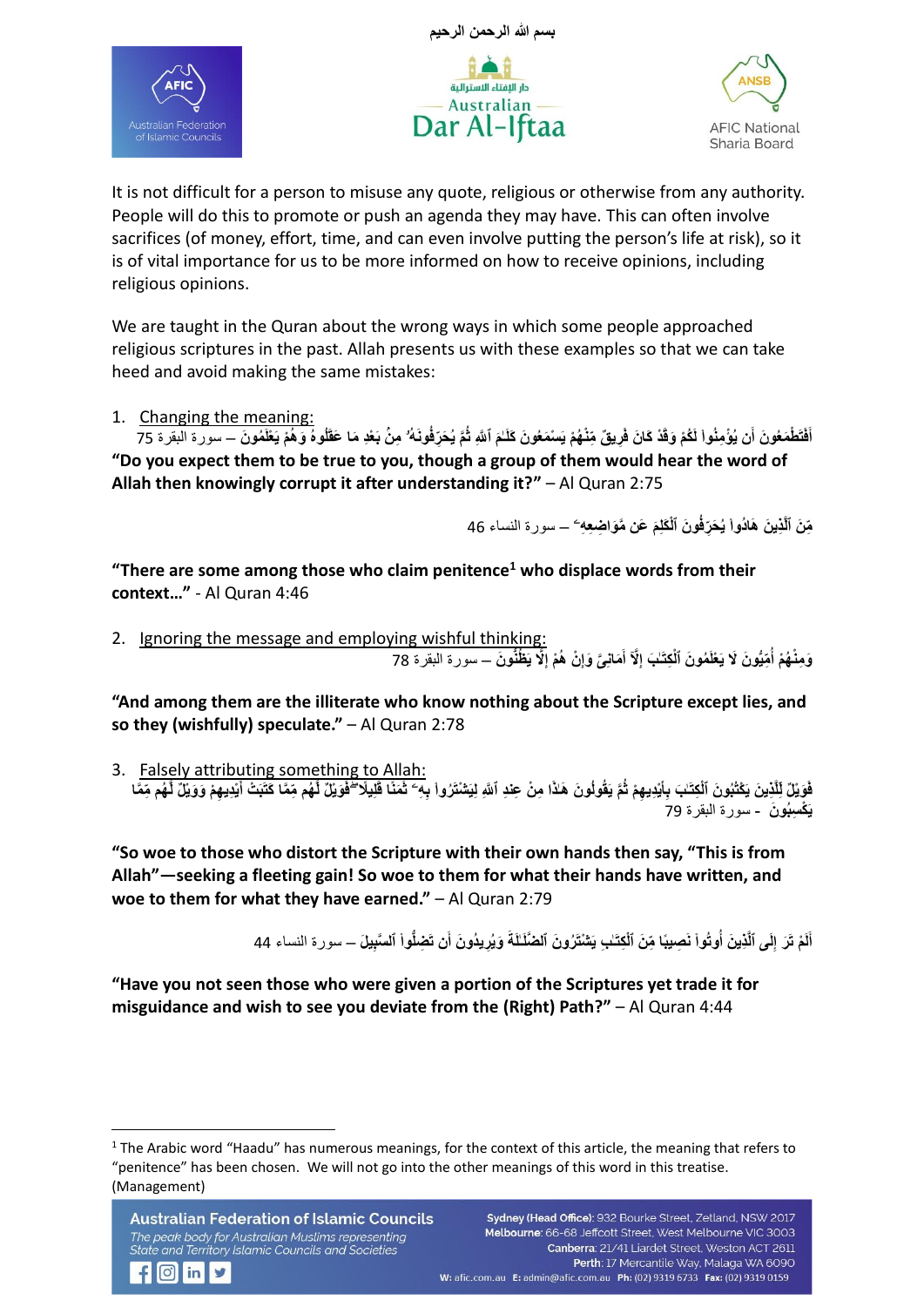





It is not difficult for a person to misuse any quote, religious or otherwise from any authority. People will do this to promote or push an agenda they may have. This can often involve sacrifices (of money, effort, time, and can even involve putting the person's life at risk), so it is of vital importance for us to be more informed on how to receive opinions, including religious opinions.

We are taught in the Quran about the wrong ways in which some people approached religious scriptures in the past. Allah presents us with these examples so that we can take heed and avoid making the same mistakes:

1. Changing the meaning:

أَفَتَطْمَعُونَ أَن يُؤْمِنُواْ لَكُمْ وَقَدْ كَانَ فَرِيقٌ مِّنْهُمْ يَسْمَعُونَ كَلَمَ ٱللَّهِ ثُمَّ يُحَرِّفُونَهُ ۗ مِنْ بَعْدِ مَا عَقَلُوهُ وَهُمْ يَعْلَمُونَ — سورة البقرة 75 **َ ٰـ "Do you expect them to be true to you, though a group of them would hear the word of Allah then knowingly corrupt it after understanding it?"** – Al Quran 2:75

> مِّنَ ٱلَّ**ٰذِينَ هَادُواْ يُحَرِّفُونَ ٱلْمَـُلِمَ عَن مَّوَاضِعِهِ ۖ ــ سورة النساء 46 ۟**

**"There are some among those who claim penitence<sup>1</sup> who displace words from their context…"** - Al Quran 4:46

2. Ignoring the message and employing wishful thinking: وَمِثْهُمْ أُمِّيُّونَ لَا يَعْلَمُونَ ٱلْكِتَـٰبَ إِلَّا أَمَانِئَ وَإِنْ هُمْ إِلَّا يَظْنُونَ ــ سورة البقرة 78 **ِ ِ َ ِ ُ**

**"And among them are the illiterate who know nothing about the Scripture except lies, and so they (wishfully) speculate."** – Al Quran 2:78

3. Falsely attributing something to Allah: فَوَيْلٌ لِلَّذِينَ يَكْتُبُونَ ٱلْكِتَـٰبَ بِأَيْدِيهِمْ ثُمَّ يَقُولُونَ هَلاًا مِنْ عِندِ ٱللَّهِ لِيَتْنْتَرُواْ بِهِ ۖ ثَمَنًا قَلِيلًا ۖ فَوَيْلٌ لَهُم مِّمَا كَتَبَتْ أَيْدِيهِمْ وَوَيْلٌ لَّهُم مِّعًا **۟ َ َ َ يَ ْك ِسبُو َن** - سورة البقرة 79

**"So woe to those who distort the Scripture with their own hands then say, "This is from Allah"—seeking a fleeting gain! So woe to them for what their hands have written, and woe to them for what they have earned."** – Al Quran 2:79

> **ِ** أَلَمْ تَرَ إِلَى ٱلَّذِينَ أُوتُواْ نَصِيبًا مِّنَ ٱلْكِتَـٰبِ يَتْنْتَرُونَ ٱلضَّلَـٰلَةَ وَيُرِيدُونَ أَن تَضِلُّواْ ٱلسَّبِيلَ – سورة النساء 44 **۟ ۟**

**"Have you not seen those who were given a portion of the Scriptures yet trade it for misguidance and wish to see you deviate from the (Right) Path?"** – Al Quran 4:44

<sup>&</sup>lt;sup>1</sup> The Arabic word "Haadu" has numerous meanings, for the context of this article, the meaning that refers to "penitence" has been chosen. We will not go into the other meanings of this word in this treatise. (Management)